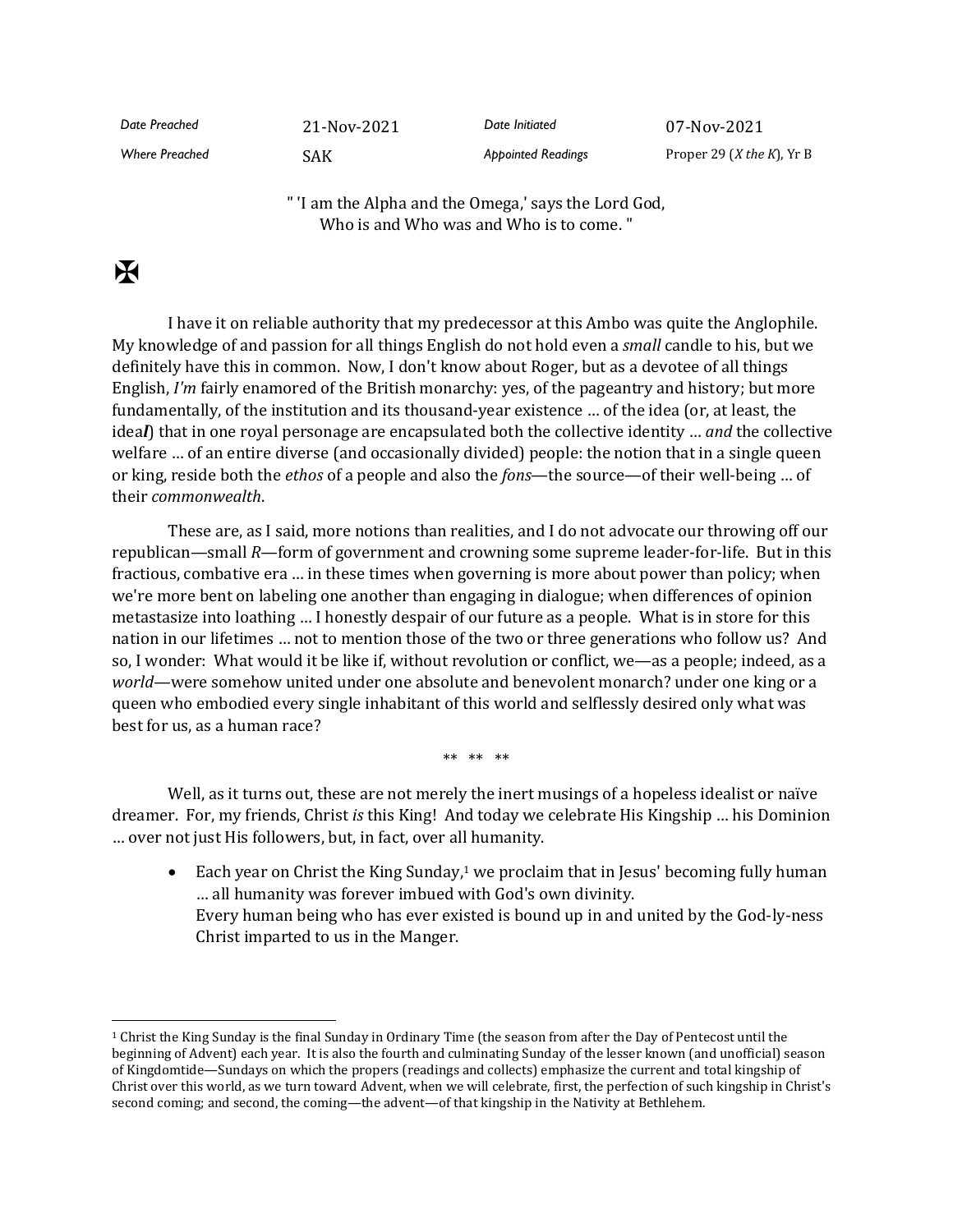| Date Preached         | 21-Nov-2021 | Date Initiated            | 07-Nov-2021                               |
|-----------------------|-------------|---------------------------|-------------------------------------------|
| <b>Where Preached</b> | SAK         | <b>Appointed Readings</b> | Proper 29 ( <i>X</i> the <i>K</i> ), Yr B |

" 'I am the Alpha and the Omega,' says the Lord God, Who is and Who was and Who is to come. "

## $\mathbf F$

I have it on reliable authority that my predecessor at this Ambo was quite the Anglophile. My knowledge of and passion for all things English do not hold even a *small* candle to his, but we definitely have this in common. Now, I don't know about Roger, but as a devotee of all things English, *I'm* fairly enamored of the British monarchy: yes, of the pageantry and history; but more fundamentally, of the institution and its thousand-year existence … of the idea (or, at least, the idea*l*) that in one royal personage are encapsulated both the collective identity … *and* the collective welfare … of an entire diverse (and occasionally divided) people: the notion that in a single queen or king, reside both the *ethos* of a people and also the *fons*—the source—of their well-being … of their *commonwealth*.

These are, as I said, more notions than realities, and I do not advocate our throwing off our republican—small *R*—form of government and crowning some supreme leader-for-life. But in this fractious, combative era … in these times when governing is more about power than policy; when we're more bent on labeling one another than engaging in dialogue; when differences of opinion metastasize into loathing … I honestly despair of our future as a people. What is in store for this nation in our lifetimes … not to mention those of the two or three generations who follow us? And so, I wonder: What would it be like if, without revolution or conflict, we—as a people; indeed, as a *world*—were somehow united under one absolute and benevolent monarch? under one king or a queen who embodied every single inhabitant of this world and selflessly desired only what was best for us, as a human race?

\*\* \*\* \*\*

Well, as it turns out, these are not merely the inert musings of a hopeless idealist or naïve dreamer. For, my friends, Christ *is* this King! And today we celebrate His Kingship … his Dominion … over not just His followers, but, in fact, over all humanity.

• Each year on Christ the King Sunday,<sup>1</sup> we proclaim that in Jesus' becoming fully human … all humanity was forever imbued with God's own divinity. Every human being who has ever existed is bound up in and united by the God-ly-ness Christ imparted to us in the Manger.

<sup>1</sup> Christ the King Sunday is the final Sunday in Ordinary Time (the season from after the Day of Pentecost until the beginning of Advent) each year. It is also the fourth and culminating Sunday of the lesser known (and unofficial) season of Kingdomtide—Sundays on which the propers (readings and collects) emphasize the current and total kingship of Christ over this world, as we turn toward Advent, when we will celebrate, first, the perfection of such kingship in Christ's second coming; and second, the coming—the advent—of that kingship in the Nativity at Bethlehem.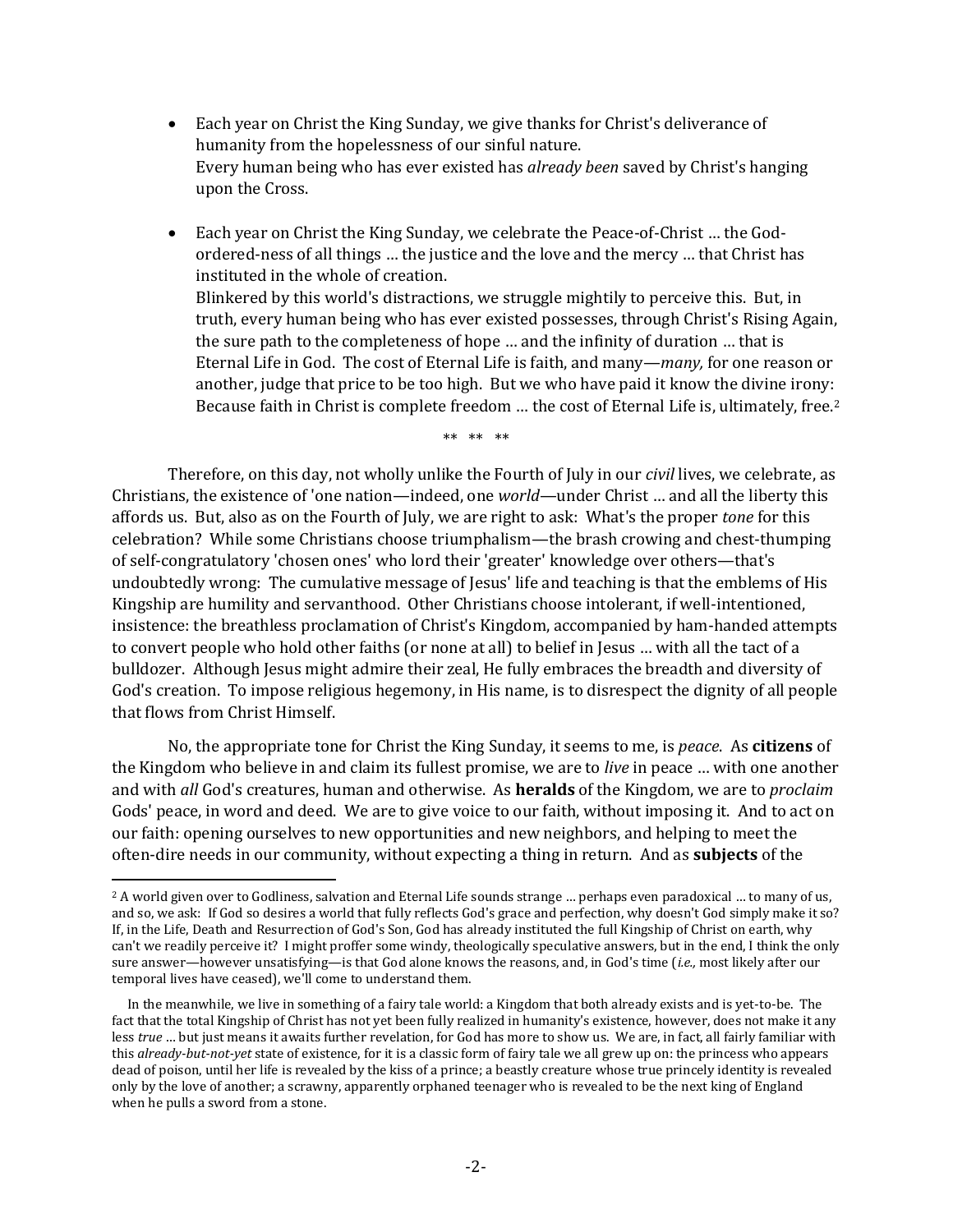- Each year on Christ the King Sunday, we give thanks for Christ's deliverance of humanity from the hopelessness of our sinful nature. Every human being who has ever existed has *already been* saved by Christ's hanging upon the Cross.
- Each year on Christ the King Sunday, we celebrate the Peace-of-Christ … the Godordered-ness of all things … the justice and the love and the mercy … that Christ has instituted in the whole of creation. Blinkered by this world's distractions, we struggle mightily to perceive this. But, in truth, every human being who has ever existed possesses, through Christ's Rising Again, the sure path to the completeness of hope … and the infinity of duration … that is Eternal Life in God. The cost of Eternal Life is faith, and many—*many,* for one reason or another, judge that price to be too high. But we who have paid it know the divine irony: Because faith in Christ is complete freedom ... the cost of Eternal Life is, ultimately, free.<sup>2</sup>

\*\* \*\* \*\*

Therefore, on this day, not wholly unlike the Fourth of July in our *civil* lives, we celebrate, as Christians, the existence of 'one nation—indeed, one *world*—under Christ … and all the liberty this affords us. But, also as on the Fourth of July, we are right to ask: What's the proper *tone* for this celebration? While some Christians choose triumphalism—the brash crowing and chest-thumping of self-congratulatory 'chosen ones' who lord their 'greater' knowledge over others—that's undoubtedly wrong: The cumulative message of Jesus' life and teaching is that the emblems of His Kingship are humility and servanthood. Other Christians choose intolerant, if well-intentioned, insistence: the breathless proclamation of Christ's Kingdom, accompanied by ham-handed attempts to convert people who hold other faiths (or none at all) to belief in Jesus … with all the tact of a bulldozer. Although Jesus might admire their zeal, He fully embraces the breadth and diversity of God's creation. To impose religious hegemony, in His name, is to disrespect the dignity of all people that flows from Christ Himself.

No, the appropriate tone for Christ the King Sunday, it seems to me, is *peace*. As **citizens** of the Kingdom who believe in and claim its fullest promise, we are to *live* in peace … with one another and with *all* God's creatures, human and otherwise. As **heralds** of the Kingdom, we are to *proclaim* Gods' peace, in word and deed. We are to give voice to our faith, without imposing it. And to act on our faith: opening ourselves to new opportunities and new neighbors, and helping to meet the often-dire needs in our community, without expecting a thing in return. And as **subjects** of the

<sup>2</sup> A world given over to Godliness, salvation and Eternal Life sounds strange … perhaps even paradoxical … to many of us, and so, we ask: If God so desires a world that fully reflects God's grace and perfection, why doesn't God simply make it so? If, in the Life, Death and Resurrection of God's Son, God has already instituted the full Kingship of Christ on earth, why can't we readily perceive it? I might proffer some windy, theologically speculative answers, but in the end, I think the only sure answer—however unsatisfying—is that God alone knows the reasons, and, in God's time (*i.e.,* most likely after our temporal lives have ceased), we'll come to understand them.

In the meanwhile, we live in something of a fairy tale world: a Kingdom that both already exists and is yet-to-be. The fact that the total Kingship of Christ has not yet been fully realized in humanity's existence, however, does not make it any less *true* … but just means it awaits further revelation, for God has more to show us. We are, in fact, all fairly familiar with this *already-but-not-yet* state of existence, for it is a classic form of fairy tale we all grew up on: the princess who appears dead of poison, until her life is revealed by the kiss of a prince; a beastly creature whose true princely identity is revealed only by the love of another; a scrawny, apparently orphaned teenager who is revealed to be the next king of England when he pulls a sword from a stone.